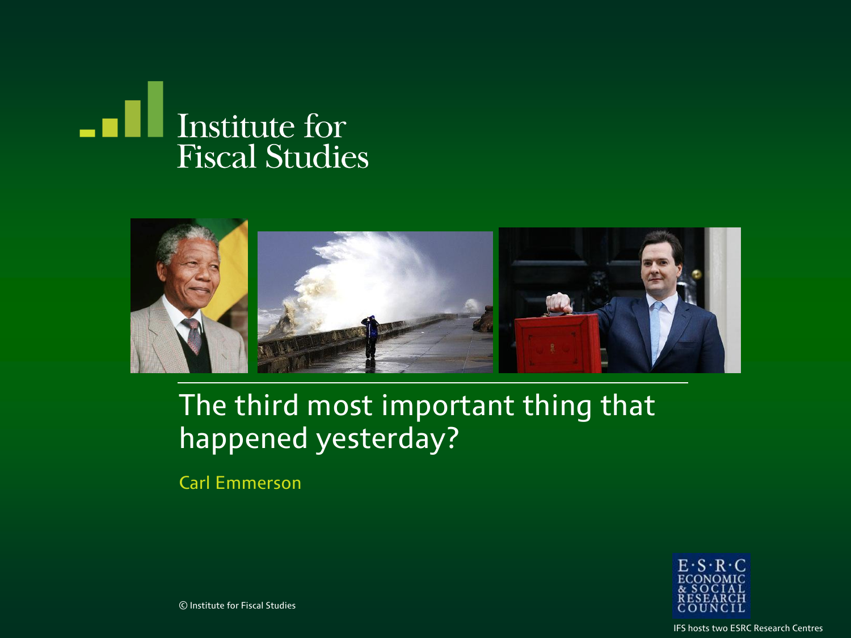



#### The third most important thing that happened yesterday?

Carl Emmerson



© Institute for Fiscal Studies

IFS hosts two ESRC Research Centres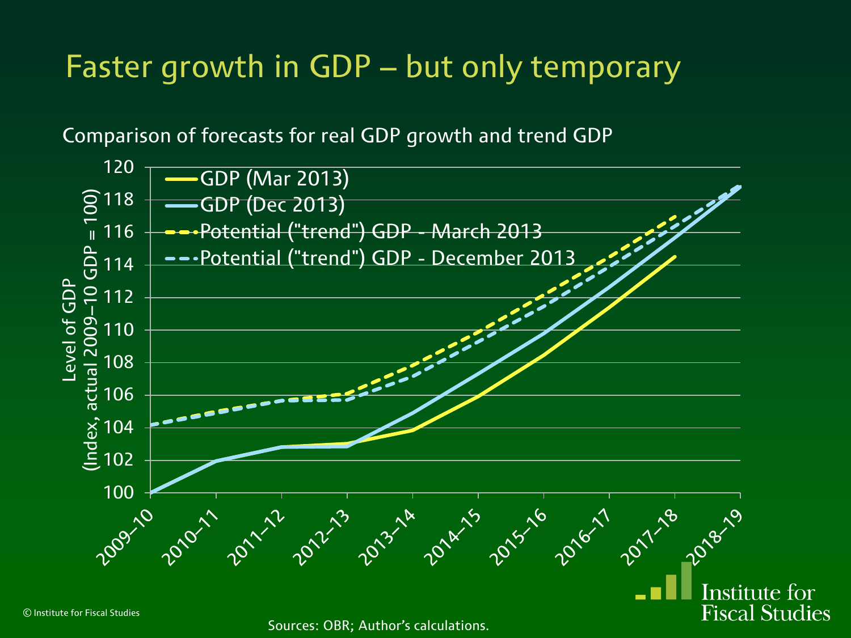### Faster growth in GDP – but only temporary

Comparison of forecasts for real GDP growth and trend GDP



Sources: OBR; Author's calculations.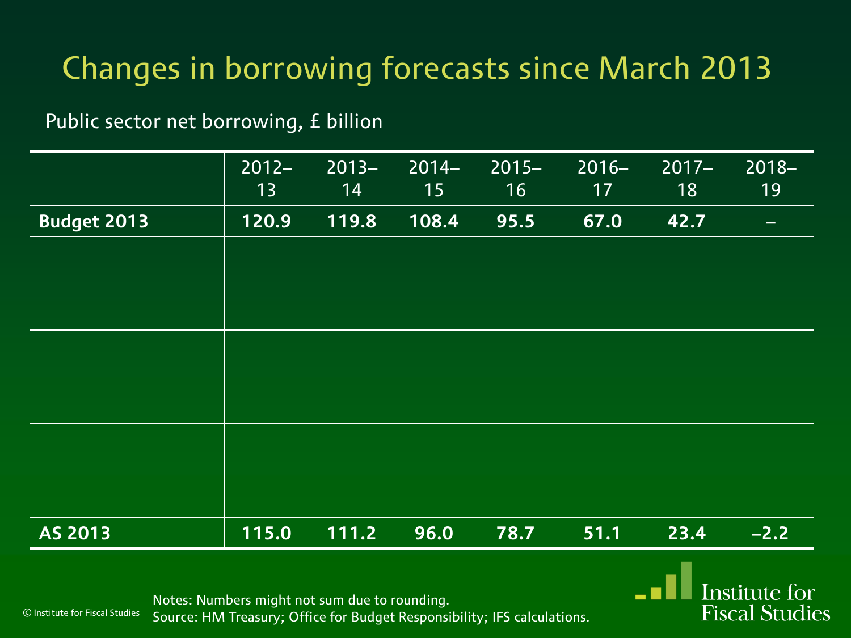Public sector net borrowing, £ billion

|                    | $2012 -$<br>13 | $2013 -$<br>14 | $2014-$<br>15 | $2015 -$<br>16 | $2016 -$<br>17 | $2017 -$<br>18 | $2018 -$<br>19 |
|--------------------|----------------|----------------|---------------|----------------|----------------|----------------|----------------|
| <b>Budget 2013</b> | 120.9          | 119.8          | 108.4         | 95.5           | 67.0           | 42.7           | -              |
|                    |                |                |               |                |                |                |                |
|                    |                |                |               |                |                |                |                |
|                    |                |                |               |                |                |                |                |
|                    |                |                |               |                |                |                |                |
|                    |                |                |               |                |                |                |                |
|                    |                |                |               |                |                |                |                |
|                    |                |                |               |                |                |                |                |
|                    |                |                |               |                |                |                |                |
| AS 2013            | 115.0          | 111.2          | 96.0          | 78.7           | 51.1           | 23.4           | $-2.2$         |
|                    |                |                |               |                |                |                |                |

Institute for **Fiscal Studies** 

Notes: Numbers might not sum due to rounding. Source: HM Treasury; Office for Budget Responsibility; IFS calculations.

© Institute for Fiscal Studies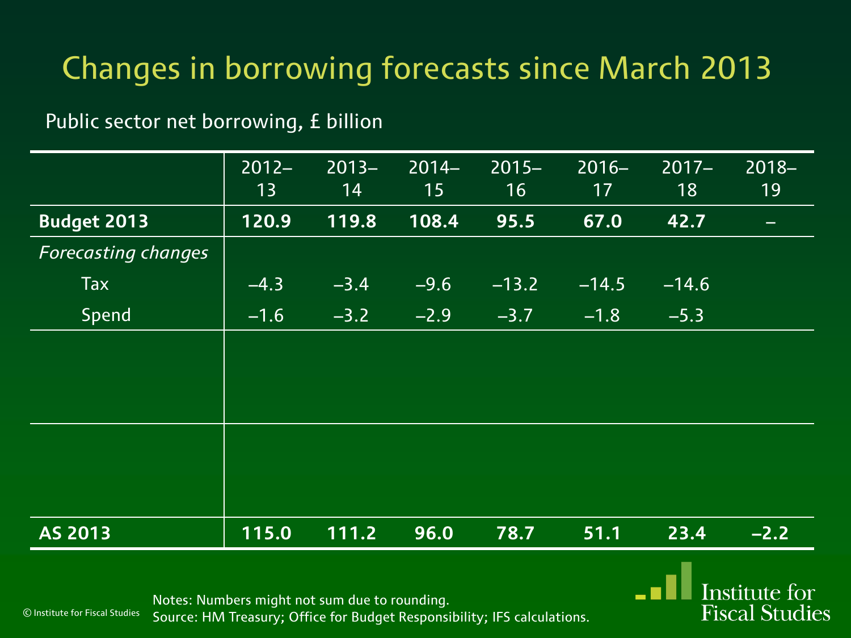Public sector net borrowing, £ billion

|                            | $2012 -$<br>13 | $2013 -$<br>14 | $2014-$<br>15 | $2015 -$<br>16 | $2016 -$<br>17 | $2017 -$<br>18 | $2018 -$<br>19 |
|----------------------------|----------------|----------------|---------------|----------------|----------------|----------------|----------------|
| <b>Budget 2013</b>         | 120.9          | 119.8          | 108.4         | 95.5           | 67.0           | 42.7           |                |
| <b>Forecasting changes</b> |                |                |               |                |                |                |                |
| Tax                        | $-4.3$         | $-3.4$         | $-9.6$        | $-13.2$        | $-14.5$        | $-14.6$        |                |
| Spend                      | $-1.6$         | $-3.2$         | $-2.9$        | $-3.7$         | $-1.8$         | $-5.3$         |                |
|                            |                |                |               |                |                |                |                |
|                            |                |                |               |                |                |                |                |
|                            |                |                |               |                |                |                |                |
|                            |                |                |               |                |                |                |                |
|                            |                |                |               |                |                |                |                |
|                            |                |                |               |                |                |                |                |
| <b>AS 2013</b>             | 115.0          | 111.2          | 96.0          | 78.7           | 51.1           | 23.4           | $-2.2$         |

**Institute for Fiscal Studies** 

Notes: Numbers might not sum due to rounding.

© Institute for Fiscal Studies

Source: HM Treasury; Office for Budget Responsibility; IFS calculations.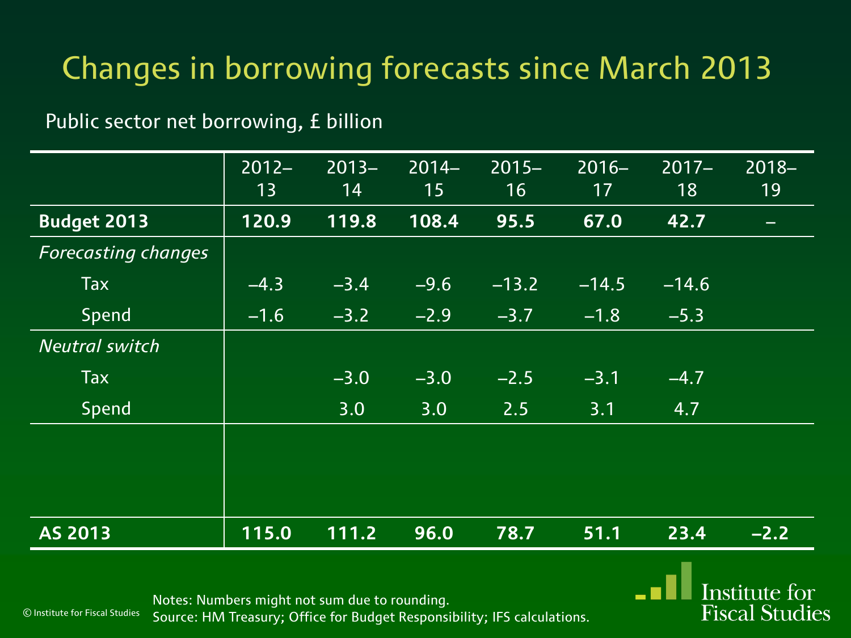Public sector net borrowing, £ billion

|                            | $2012 -$ | $2013 -$ | $2014 -$ | $2015 -$          | $2016 -$ | $2017 -$ | $2018 -$                 |
|----------------------------|----------|----------|----------|-------------------|----------|----------|--------------------------|
|                            | 13       | 14       | 15       | 16                | 17       | 18       | 19                       |
| <b>Budget 2013</b>         | 120.9    | 119.8    | 108.4    | 95.5              | 67.0     | 42.7     | $\overline{\phantom{0}}$ |
| <b>Forecasting changes</b> |          |          |          |                   |          |          |                          |
| Tax                        | $-4.3$   | $-3.4$   | $-9.6$   | $-13.2$           | $-14.5$  | $-14.6$  |                          |
| Spend                      | $-1.6$   | $-3.2$   | $-2.9$   | $-3.7$            | $-1.8$   | $-5.3$   |                          |
| <b>Neutral switch</b>      |          |          |          |                   |          |          |                          |
| Tax                        |          | $-3.0$   | $-3.0$   | $\overline{-2.5}$ | $-3.1$   | $-4.7$   |                          |
| Spend                      |          | 3.0      | 3.0      | 2.5               | 3.1      | 4.7      |                          |
|                            |          |          |          |                   |          |          |                          |
|                            |          |          |          |                   |          |          |                          |
|                            |          |          |          |                   |          |          |                          |
| <b>AS 2013</b>             | 115.0    | 111.2    | 96.0     | 78.7              | 51.1     | 23.4     | $-2.2$                   |

**Institute for Fiscal Studies** 

Notes: Numbers might not sum due to rounding.

© Institute for Fiscal Studies

Source: HM Treasury; Office for Budget Responsibility; IFS calculations.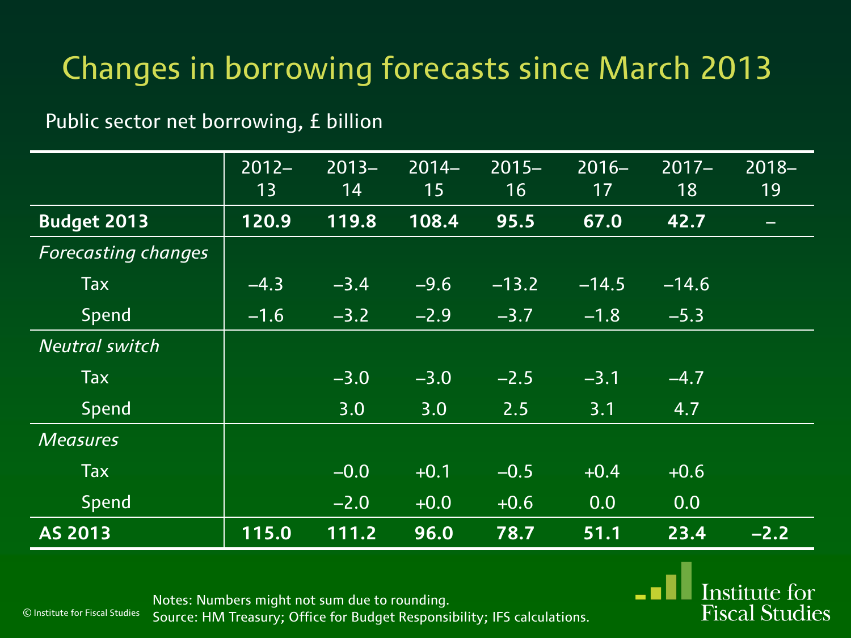Public sector net borrowing, £ billion

|                            | $2012 -$ | $2013 -$ | $2014-$ | $2015 -$ | $2016 -$ | $2017 -$ | $2018 -$ |
|----------------------------|----------|----------|---------|----------|----------|----------|----------|
|                            | 13       | 14       | 15      | 16       | 17       | 18       | 19       |
| <b>Budget 2013</b>         | 120.9    | 119.8    | 108.4   | 95.5     | 67.0     | 42.7     |          |
| <b>Forecasting changes</b> |          |          |         |          |          |          |          |
| <b>Tax</b>                 | $-4.3$   | $-3.4$   | $-9.6$  | $-13.2$  | $-14.5$  | $-14.6$  |          |
| Spend                      | $-1.6$   | $-3.2$   | $-2.9$  | $-3.7$   | $-1.8$   | $-5.3$   |          |
| <b>Neutral switch</b>      |          |          |         |          |          |          |          |
| <b>Tax</b>                 |          | $-3.0$   | $-3.0$  | $-2.5$   | $-3.1$   | $-4.7$   |          |
| Spend                      |          | 3.0      | 3.0     | 2.5      | 3.1      | 4.7      |          |
| <b>Measures</b>            |          |          |         |          |          |          |          |
| <b>Tax</b>                 |          | $-0.0$   | $+0.1$  | $-0.5$   | $+0.4$   | $+0.6$   |          |
| Spend                      |          | $-2.0$   | $+0.0$  | $+0.6$   | 0.0      | 0.0      |          |
| AS 2013                    | 115.0    | 111.2    | 96.0    | 78.7     | 51.1     | 23.4     | $-2.2$   |

© Institute for Fiscal Studies

Notes: Numbers might not sum due to rounding. Source: HM Treasury; Office for Budget Responsibility; IFS calculations.

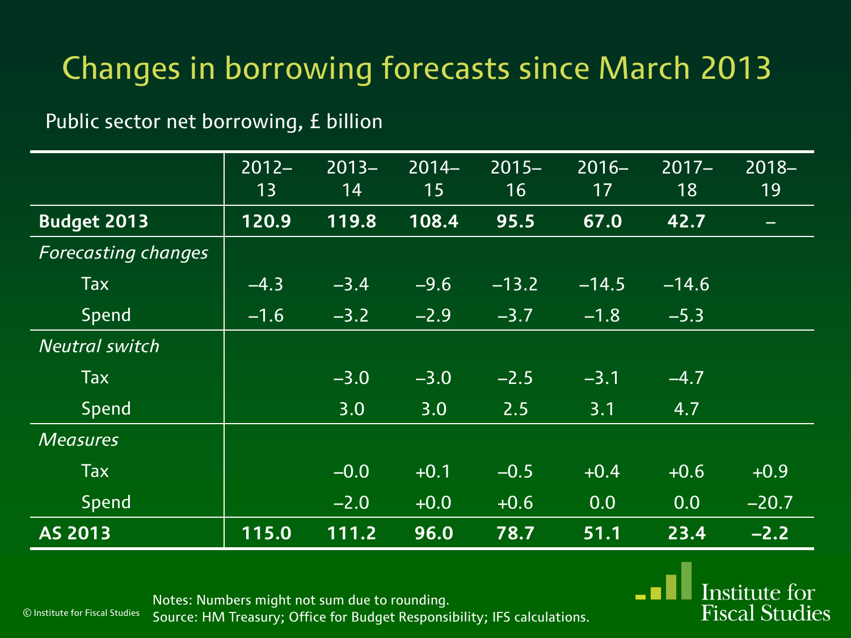Public sector net borrowing, £ billion

|                            | $2012 -$ | $2013 -$ | $2014 -$ | $2015 -$ | $2016 -$ | $2017 -$ | $2018 -$                 |
|----------------------------|----------|----------|----------|----------|----------|----------|--------------------------|
|                            | 13       | 14       | 15       | 16       | 17       | 18       | 19                       |
| <b>Budget 2013</b>         | 120.9    | 119.8    | 108.4    | 95.5     | 67.0     | 42.7     | $\overline{\phantom{0}}$ |
| <b>Forecasting changes</b> |          |          |          |          |          |          |                          |
| <b>Tax</b>                 | $-4.3$   | $-3.4$   | $-9.6$   | $-13.2$  | $-14.5$  | $-14.6$  |                          |
| Spend                      | $-1.6$   | $-3.2$   | $-2.9$   | $-3.7$   | $-1.8$   | $-5.3$   |                          |
| <b>Neutral switch</b>      |          |          |          |          |          |          |                          |
| Tax                        |          | $-3.0$   | $-3.0$   | $-2.5$   | $-3.1$   | $-4.7$   |                          |
| Spend                      |          | 3.0      | 3.0      | 2.5      | 3.1      | 4.7      |                          |
| <b>Measures</b>            |          |          |          |          |          |          |                          |
| <b>Tax</b>                 |          | $-0.0$   | $+0.1$   | $-0.5$   | $+0.4$   | $+0.6$   | $+0.9$                   |
| Spend                      |          | $-2.0$   | $+0.0$   | $+0.6$   | 0.0      | 0.0      | $-20.7$                  |
| AS 2013                    | 115.0    | 111.2    | 96.0     | 78.7     | 51.1     | 23.4     | $-2.2$                   |

Notes: Numbers might not sum due to rounding. Source: HM Treasury; Office for Budget Responsibility; IFS calculations. **Institute for Fiscal Studies** 

© Institute for Fiscal Studies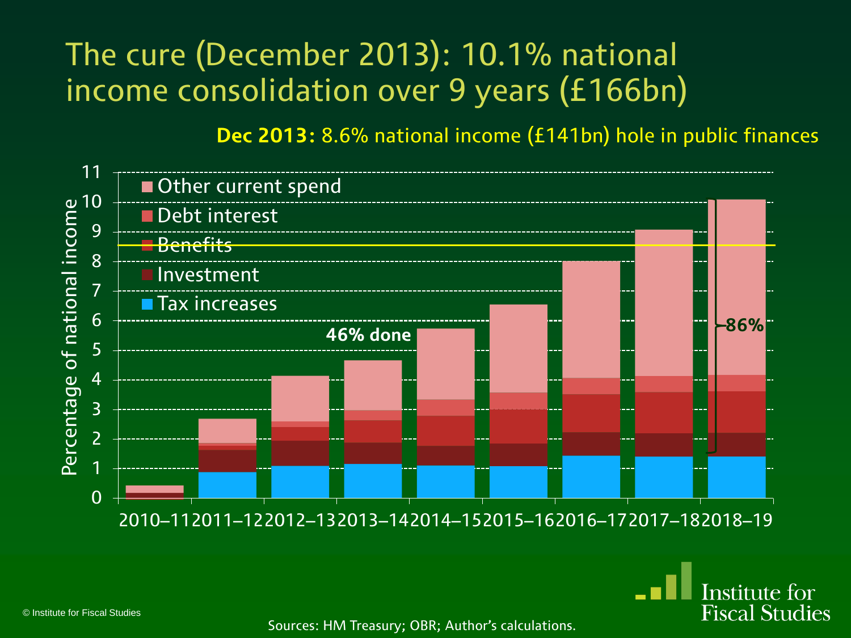### The cure (December 2013): 10.1% national income consolidation over 9 years (£166bn)

**Dec 2013:** 8.6% national income (£141bn) hole in public finances

Institute for **Fiscal Studies** 



© Institute for Fiscal Studies

Sources: HM Treasury; OBR; Author's calculations.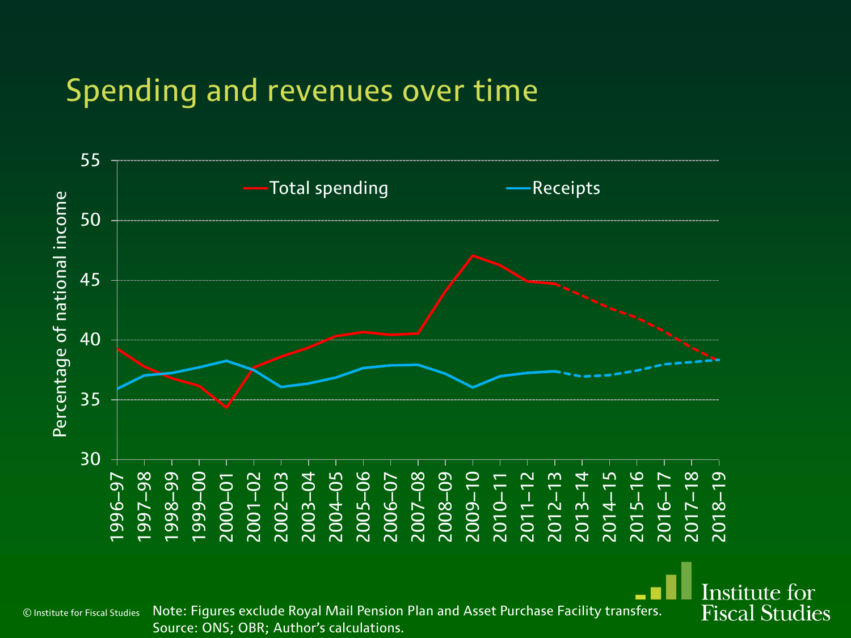#### Spending and revenues over time



© Institute for Fiscal Studies Note: Figures exclude Royal Mail Pension Plan and Asset Purchase Facility transfers. Source: ONS; OBR; Author's calculations.

Institute for **Fiscal Studies**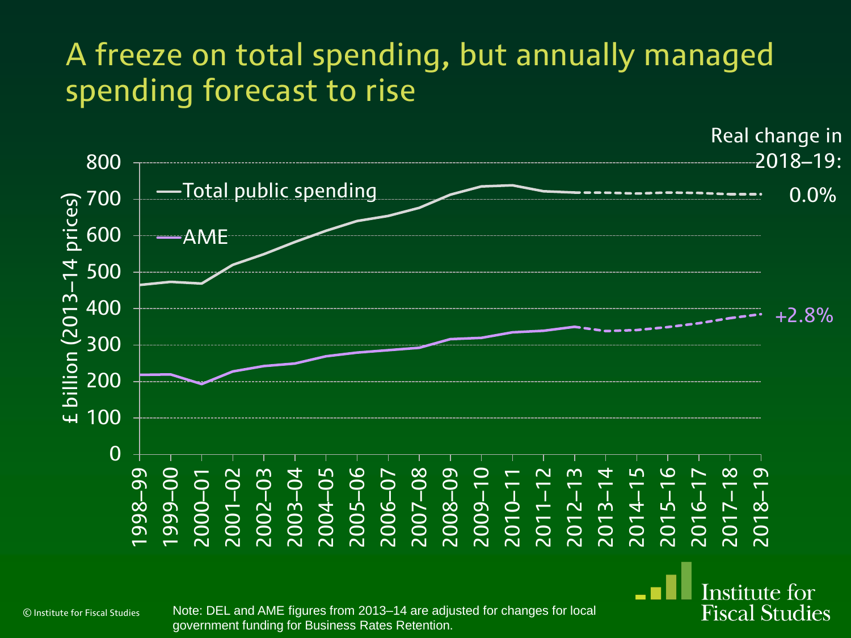#### A freeze on total spending, but annually managed spending forecast to rise



© Institute for Fiscal Studies

Note: DEL and AME figures from 2013–14 are adjusted for changes for local government funding for Business Rates Retention.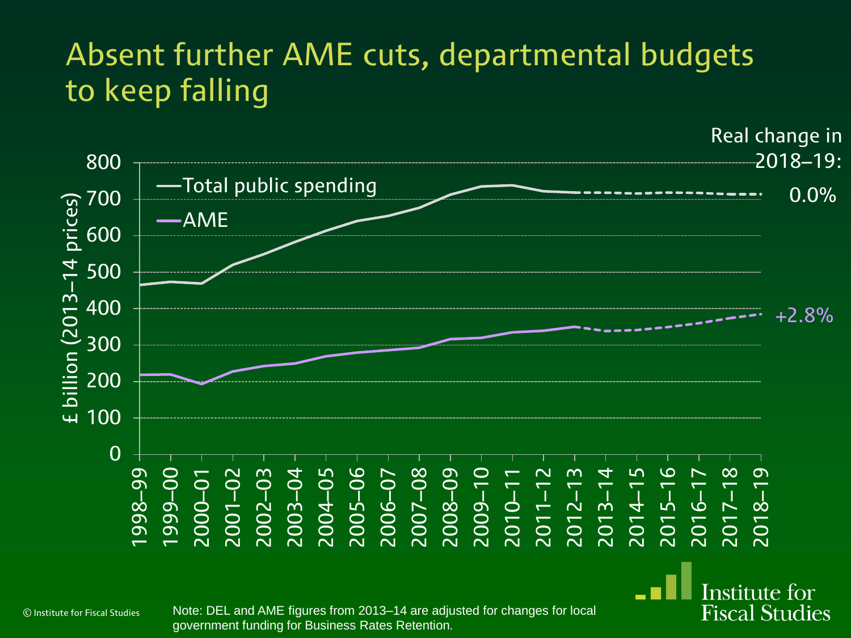

© Institute for Fiscal Studies

Note: DEL and AME figures from 2013–14 are adjusted for changes for local government funding for Business Rates Retention.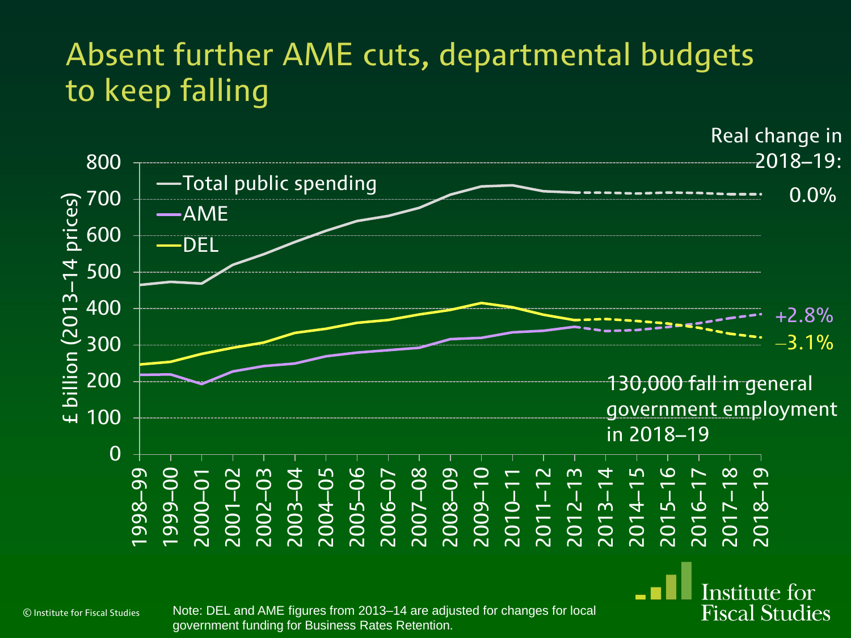

Note: DEL and AME figures from 2013–14 are adjusted for changes for local government funding for Business Rates Retention.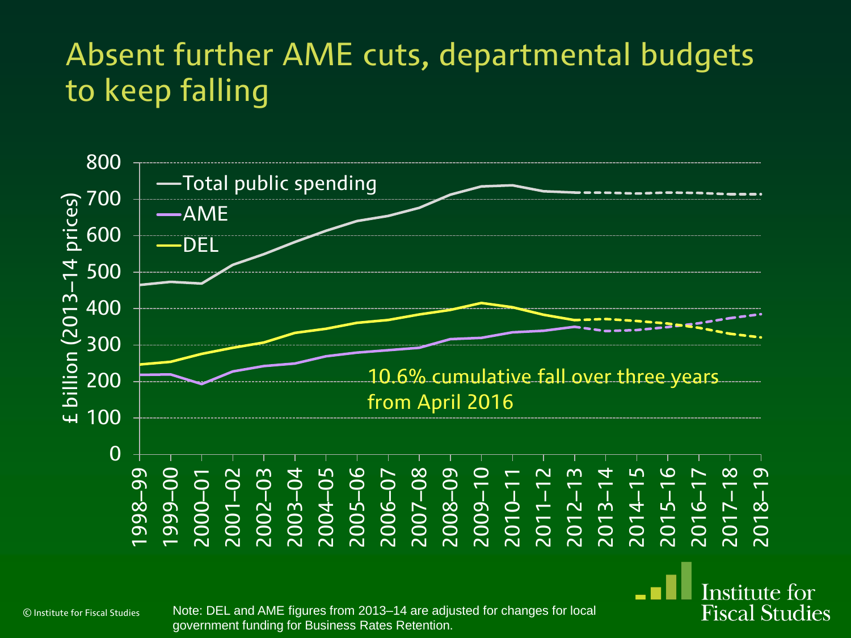

© Institute for Fiscal Studies

Note: DEL and AME figures from 2013–14 are adjusted for changes for local government funding for Business Rates Retention.

**Fiscal Studies**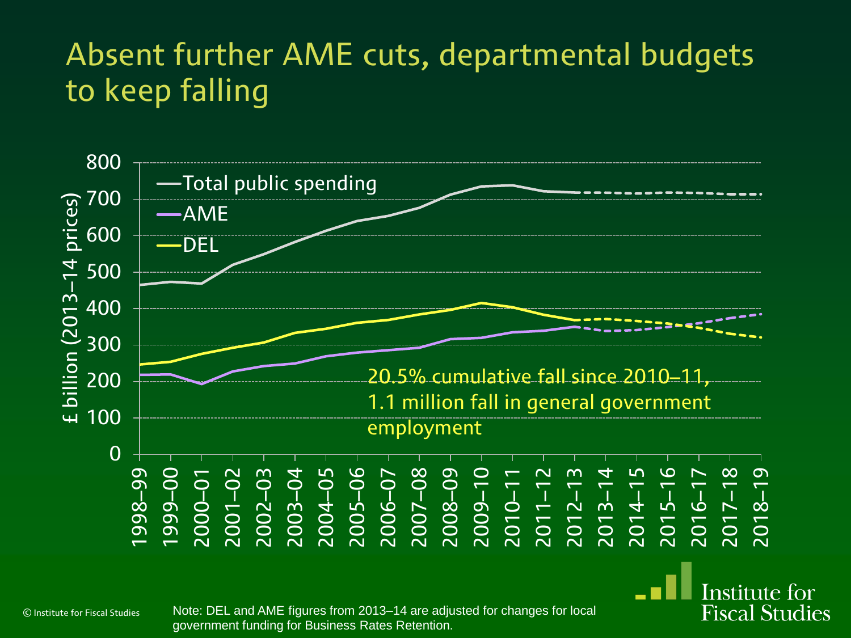

© Institute for Fiscal Studies

Note: DEL and AME figures from 2013–14 are adjusted for changes for local government funding for Business Rates Retention.

**Fiscal Studies**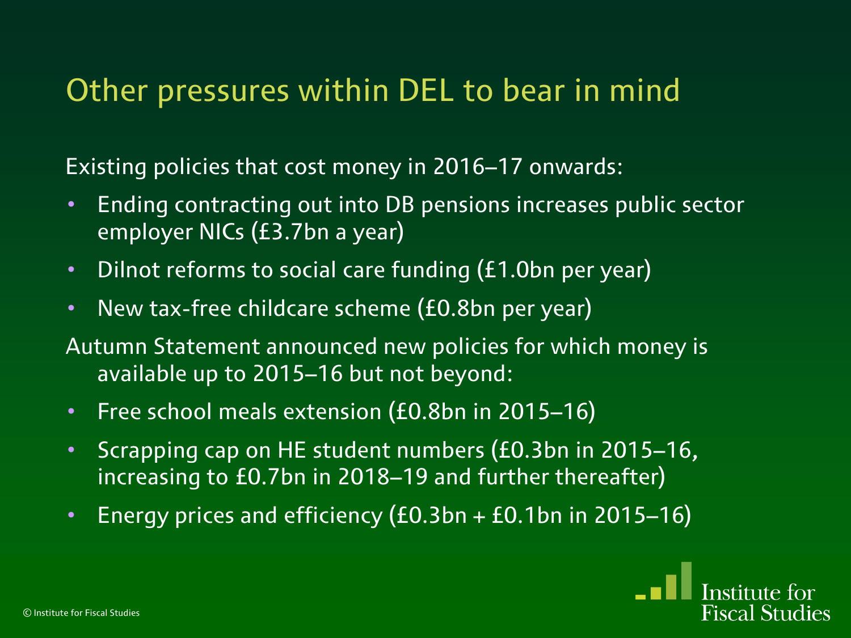#### Other pressures within DEL to bear in mind

Existing policies that cost money in 2016–17 onwards:

- Ending contracting out into DB pensions increases public sector employer NICs (£3.7bn a year)
- Dilnot reforms to social care funding (£1.0bn per year)
- New tax-free childcare scheme (£0.8bn per year)
- Autumn Statement announced new policies for which money is available up to 2015–16 but not beyond:
- Free school meals extension (£0.8bn in 2015–16)
- Scrapping cap on HE student numbers (£0.3bn in 2015–16, increasing to £0.7bn in 2018–19 and further thereafter)
- Energy prices and efficiency (£0.3bn + £0.1bn in 2015–16)

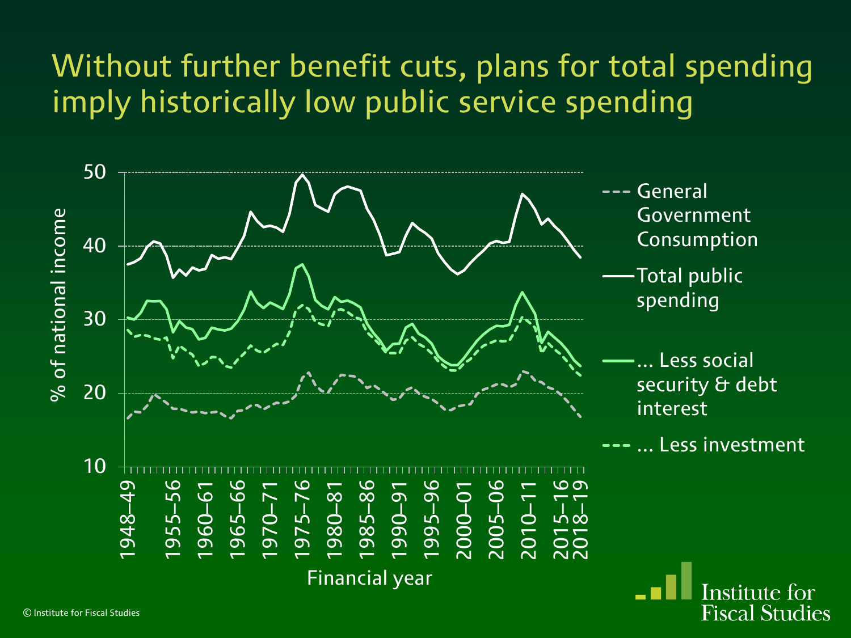### Without further benefit cuts, plans for total spending imply historically low public service spending

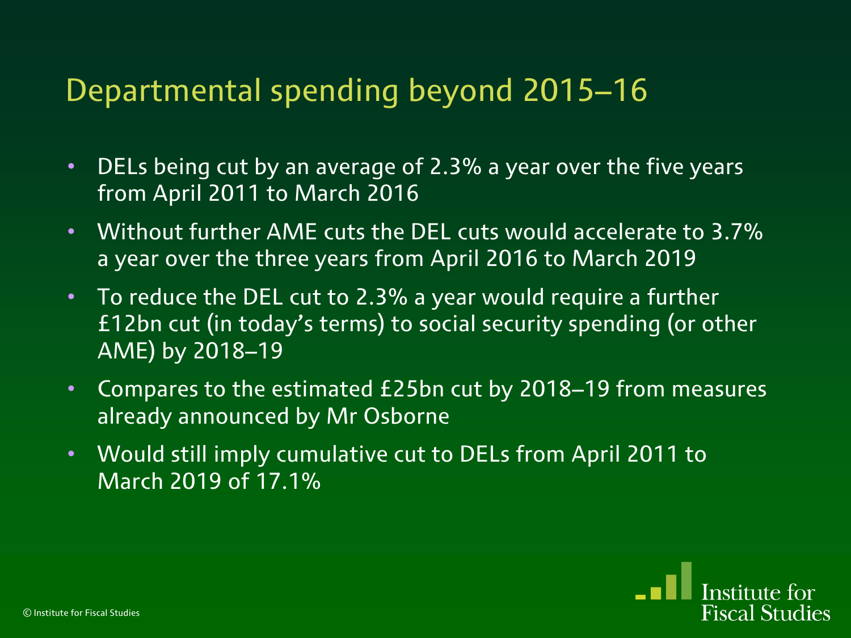#### Departmental spending beyond 2015–16

- DELs being cut by an average of 2.3% a year over the five years from April 2011 to March 2016
- Without further AME cuts the DEL cuts would accelerate to 3.7% a year over the three years from April 2016 to March 2019
- To reduce the DEL cut to 2.3% a year would require a further £12bn cut (in today's terms) to social security spending (or other AME) by 2018–19
- Compares to the estimated £25bn cut by 2018–19 from measures already announced by Mr Osborne
- Would still imply cumulative cut to DELs from April 2011 to March 2019 of 17.1%

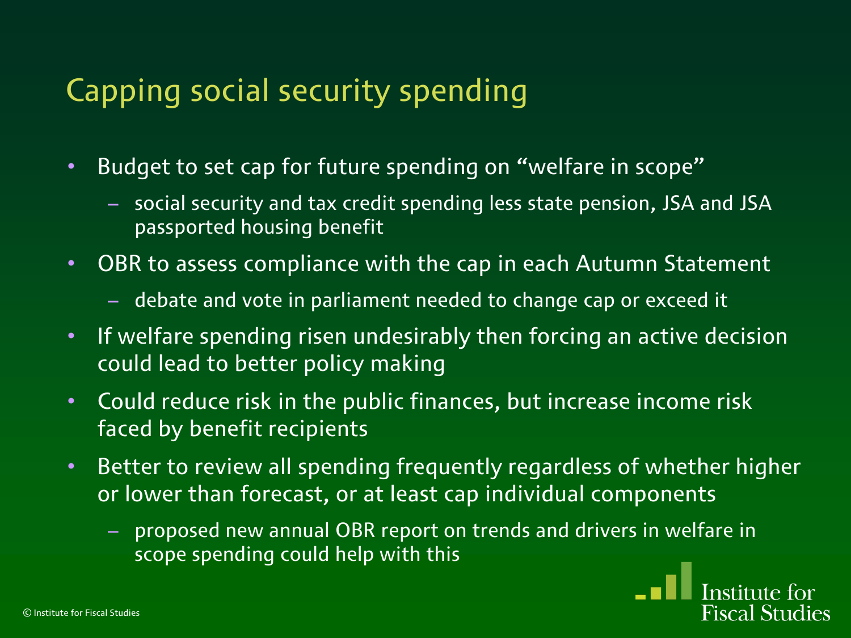### Capping social security spending

- Budget to set cap for future spending on "welfare in scope"
	- social security and tax credit spending less state pension, JSA and JSA passported housing benefit
- OBR to assess compliance with the cap in each Autumn Statement
	- debate and vote in parliament needed to change cap or exceed it
- If welfare spending risen undesirably then forcing an active decision could lead to better policy making
- Could reduce risk in the public finances, but increase income risk faced by benefit recipients
- Better to review all spending frequently regardless of whether higher or lower than forecast, or at least cap individual components
	- proposed new annual OBR report on trends and drivers in welfare in scope spending could help with this

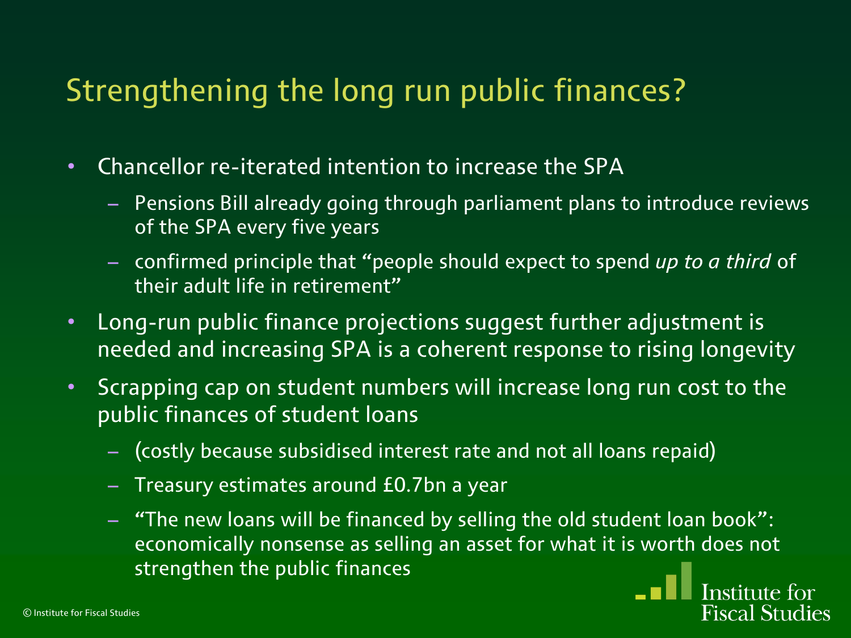### Strengthening the long run public finances?

- Chancellor re-iterated intention to increase the SPA
	- Pensions Bill already going through parliament plans to introduce reviews of the SPA every five years
	- confirmed principle that "people should expect to spend *up to a third* of their adult life in retirement"
- Long-run public finance projections suggest further adjustment is needed and increasing SPA is a coherent response to rising longevity
- Scrapping cap on student numbers will increase long run cost to the public finances of student loans
	- (costly because subsidised interest rate and not all loans repaid)
	- Treasury estimates around £0.7bn a year
	- "The new loans will be financed by selling the old student loan book": economically nonsense as selling an asset for what it is worth does not strengthen the public finances